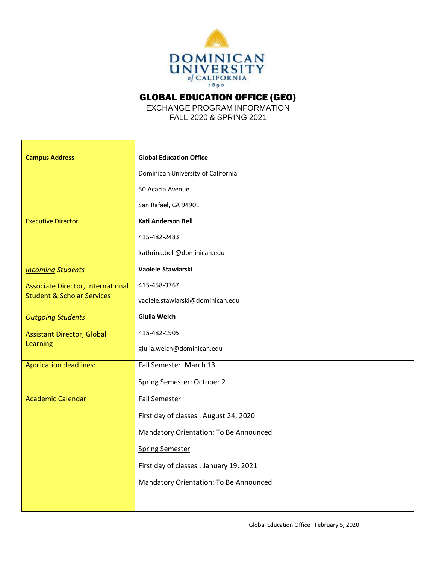

GLOBAL EDUCATION OFFICE (GEO)

EXCHANGE PROGRAM INFORMATION FALL 2020 & SPRING 2021

| <b>Campus Address</b>                                                             | <b>Global Education Office</b>          |
|-----------------------------------------------------------------------------------|-----------------------------------------|
|                                                                                   | Dominican University of California      |
|                                                                                   | 50 Acacia Avenue                        |
|                                                                                   | San Rafael, CA 94901                    |
| <b>Executive Director</b>                                                         | <b>Kati Anderson Bell</b>               |
|                                                                                   | 415-482-2483                            |
|                                                                                   | kathrina.bell@dominican.edu             |
| <b>Incoming Students</b>                                                          | Vaolele Stawiarski                      |
| <b>Associate Director, International</b><br><b>Student &amp; Scholar Services</b> | 415-458-3767                            |
|                                                                                   | vaolele.stawiarski@dominican.edu        |
| <b>Outgoing Students</b>                                                          | Giulia Welch                            |
| <b>Assistant Director, Global</b><br>Learning                                     | 415-482-1905                            |
|                                                                                   | giulia.welch@dominican.edu              |
| <b>Application deadlines:</b>                                                     | Fall Semester: March 13                 |
|                                                                                   | Spring Semester: October 2              |
| <b>Academic Calendar</b>                                                          | <b>Fall Semester</b>                    |
|                                                                                   | First day of classes : August 24, 2020  |
|                                                                                   | Mandatory Orientation: To Be Announced  |
|                                                                                   | <b>Spring Semester</b>                  |
|                                                                                   | First day of classes : January 19, 2021 |
|                                                                                   | Mandatory Orientation: To Be Announced  |
|                                                                                   |                                         |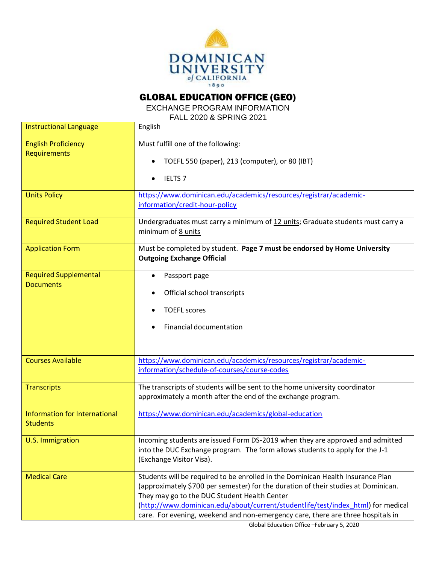

## GLOBAL EDUCATION OFFICE (GEO)

EXCHANGE PROGRAM INFORMATION

FALL 2020 & SPRING 2021

| <b>Instructional Language</b>                    | English                                                                                                                                                                                                                                                                                                                                                                                      |
|--------------------------------------------------|----------------------------------------------------------------------------------------------------------------------------------------------------------------------------------------------------------------------------------------------------------------------------------------------------------------------------------------------------------------------------------------------|
| <b>English Proficiency</b><br>Requirements       | Must fulfill one of the following:<br>TOEFL 550 (paper), 213 (computer), or 80 (IBT)<br><b>IELTS 7</b>                                                                                                                                                                                                                                                                                       |
| <b>Units Policy</b>                              | https://www.dominican.edu/academics/resources/registrar/academic-<br>information/credit-hour-policy                                                                                                                                                                                                                                                                                          |
| <b>Required Student Load</b>                     | Undergraduates must carry a minimum of 12 units; Graduate students must carry a<br>minimum of 8 units                                                                                                                                                                                                                                                                                        |
| <b>Application Form</b>                          | Must be completed by student. Page 7 must be endorsed by Home University<br><b>Outgoing Exchange Official</b>                                                                                                                                                                                                                                                                                |
| <b>Required Supplemental</b><br><b>Documents</b> | Passport page<br>Official school transcripts<br><b>TOEFL scores</b><br>Financial documentation                                                                                                                                                                                                                                                                                               |
| <b>Courses Available</b>                         | https://www.dominican.edu/academics/resources/registrar/academic-<br>information/schedule-of-courses/course-codes                                                                                                                                                                                                                                                                            |
| <b>Transcripts</b>                               | The transcripts of students will be sent to the home university coordinator<br>approximately a month after the end of the exchange program.                                                                                                                                                                                                                                                  |
| Information for International<br><b>Students</b> | https://www.dominican.edu/academics/global-education                                                                                                                                                                                                                                                                                                                                         |
| U.S. Immigration                                 | Incoming students are issued Form DS-2019 when they are approved and admitted<br>into the DUC Exchange program. The form allows students to apply for the J-1<br>(Exchange Visitor Visa).                                                                                                                                                                                                    |
| <b>Medical Care</b>                              | Students will be required to be enrolled in the Dominican Health Insurance Plan<br>(approximately \$700 per semester) for the duration of their studies at Dominican.<br>They may go to the DUC Student Health Center<br>(http://www.dominican.edu/about/current/studentlife/test/index_html) for medical<br>care. For evening, weekend and non-emergency care, there are three hospitals in |